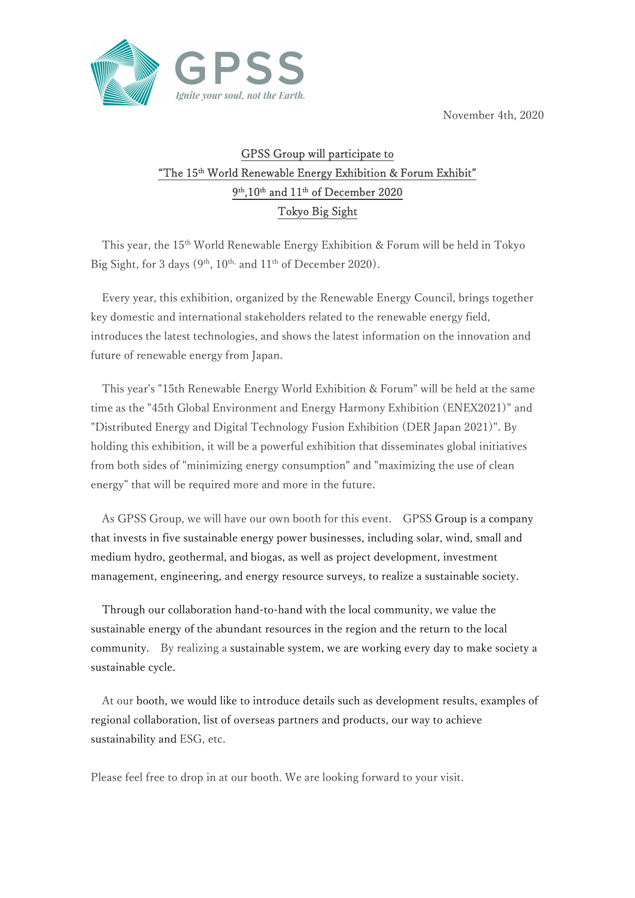November 4th, 2020



## GPSS Group will participate to "The 15<sup>th</sup> World Renewable Energy Exhibition & Forum Exhibit" 9 th,10th and 11th of December 2020 Tokyo Big Sight

This year, the 15th World Renewable Energy Exhibition & Forum will be held in Tokyo Big Sight, for 3 days  $(9<sup>th</sup>, 10<sup>th</sup>, and 11<sup>th</sup> of December 2020).$ 

Every year, this exhibition, organized by the Renewable Energy Council, brings together key domestic and international stakeholders related to the renewable energy field, introduces the latest technologies, and shows the latest information on the innovation and future of renewable energy from Japan.

This year's "15th Renewable Energy World Exhibition & Forum" will be held at the same time as the "45th Global Environment and Energy Harmony Exhibition (ENEX2021)" and "Distributed Energy and Digital Technology Fusion Exhibition (DER Japan 2021)". By holding this exhibition, it will be a powerful exhibition that disseminates global initiatives from both sides of "minimizing energy consumption" and "maximizing the use of clean energy" that will be required more and more in the future.

As GPSS Group, we will have our own booth for this event. GPSS Group is a company that invests in five sustainable energy power businesses, including solar, wind, small and medium hydro, geothermal, and biogas, as well as project development, investment management, engineering, and energy resource surveys, to realize a sustainable society.

Through our collaboration hand-to-hand with the local community, we value the sustainable energy of the abundant resources in the region and the return to the local community. By realizing a sustainable system, we are working every day to make society a sustainable cycle.

At our booth, we would like to introduce details such as development results, examples of regional collaboration, list of overseas partners and products, our way to achieve sustainability and ESG, etc.

Please feel free to drop in at our booth. We are looking forward to your visit.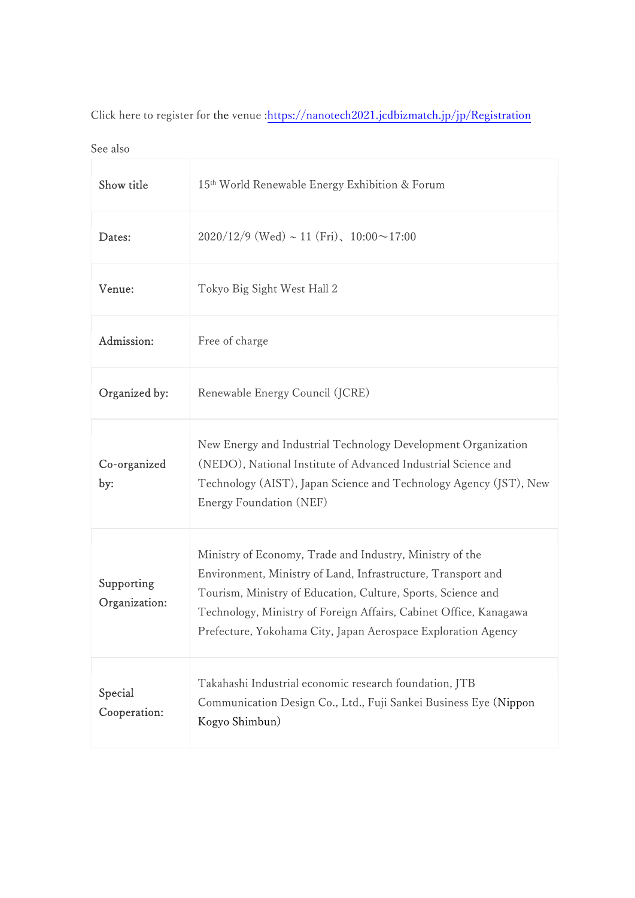Click here to register for the venue : https://nanotech2021.jcdbizmatch.jp/jp/Registration

See also

| Show title                  | 15 <sup>th</sup> World Renewable Energy Exhibition & Forum                                                                                                                                                                                                                                                                     |
|-----------------------------|--------------------------------------------------------------------------------------------------------------------------------------------------------------------------------------------------------------------------------------------------------------------------------------------------------------------------------|
| Dates:                      | $2020/12/9$ (Wed) ~ 11 (Fri), 10:00 ~ 17:00                                                                                                                                                                                                                                                                                    |
| Venue:                      | Tokyo Big Sight West Hall 2                                                                                                                                                                                                                                                                                                    |
| Admission:                  | Free of charge                                                                                                                                                                                                                                                                                                                 |
| Organized by:               | Renewable Energy Council (JCRE)                                                                                                                                                                                                                                                                                                |
| Co-organized<br>by:         | New Energy and Industrial Technology Development Organization<br>(NEDO), National Institute of Advanced Industrial Science and<br>Technology (AIST), Japan Science and Technology Agency (JST), New<br>Energy Foundation (NEF)                                                                                                 |
| Supporting<br>Organization: | Ministry of Economy, Trade and Industry, Ministry of the<br>Environment, Ministry of Land, Infrastructure, Transport and<br>Tourism, Ministry of Education, Culture, Sports, Science and<br>Technology, Ministry of Foreign Affairs, Cabinet Office, Kanagawa<br>Prefecture, Yokohama City, Japan Aerospace Exploration Agency |
| Special<br>Cooperation:     | Takahashi Industrial economic research foundation, JTB<br>Communication Design Co., Ltd., Fuji Sankei Business Eye (Nippon<br>Kogyo Shimbun)                                                                                                                                                                                   |